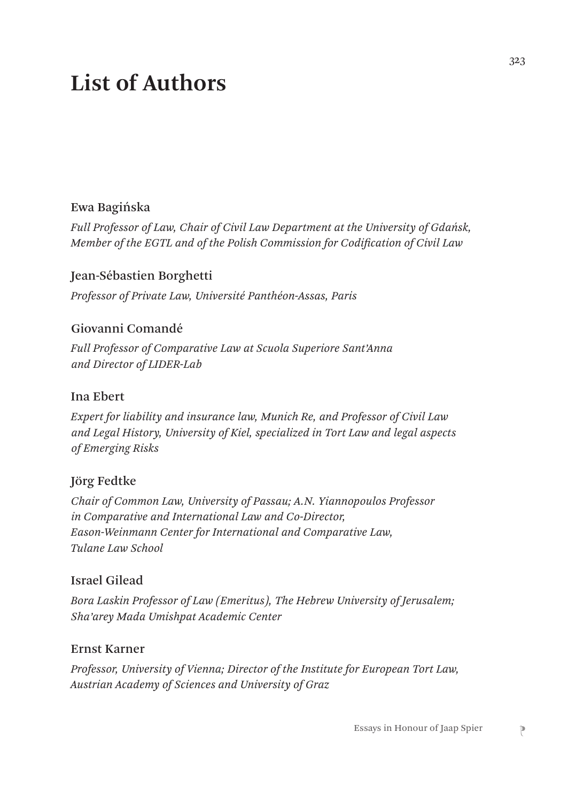# **List of Authors**

### Ewa Bagińska

*Full Professor of Law, Chair of Civil Law Department at the University of Gdańsk, Member of the EGTL and of the Polish Commission for Codification of Civil Law*

#### Jean-Sébastien Borghetti

*Professor of Private Law, Université Panthéon-Assas, Paris*

### Giovanni Comandé

*Full Professor of Comparative Law at Scuola Superiore Sant'Anna and Director of LIDER-Lab*

#### Ina Ebert

*Expert for liability and insurance law, Munich Re, and Professor of Civil Law and Legal History, University of Kiel, specialized in Tort Law and legal aspects of Emerging Risks*

### Jörg Fedtke

*Chair of Common Law, University of Passau; A.N. Yiannopoulos Professor in Comparative and International Law and Co-Director, Eason-Weinmann Center for International and Comparative Law, Tulane Law School*

#### Israel Gilead

*Bora Laskin Professor of Law (Emeritus), The Hebrew University of Jerusalem; Sha'arey Mada Umishpat Academic Center*

#### Ernst Karner

*Professor, University of Vienna; Director of the Institute for European Tort Law, Austrian Academy of Sciences and University of Graz*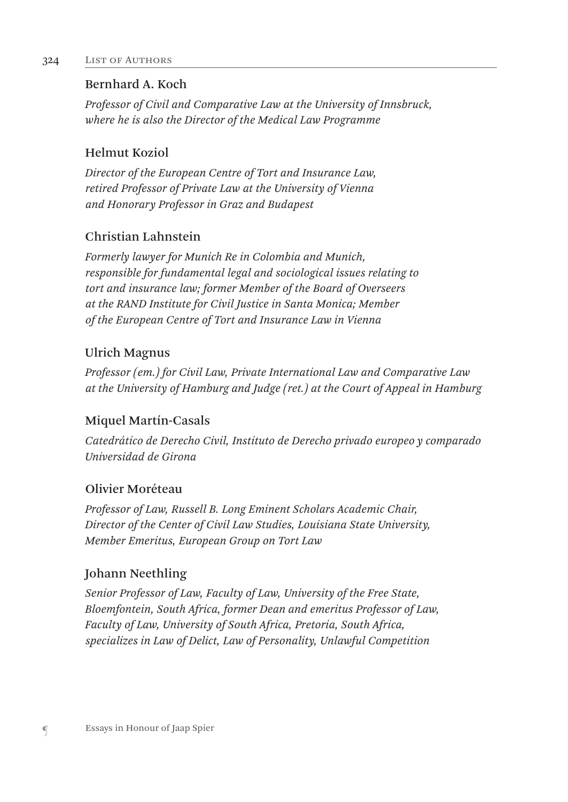## Bernhard A. Koch

*Professor of Civil and Comparative Law at the University of Innsbruck, where he is also the Director of the Medical Law Programme*

# Helmut Koziol

*Director of the European Centre of Tort and Insurance Law, retired Professor of Private Law at the University of Vienna and Honorary Professor in Graz and Budapest*

# Christian Lahnstein

*Formerly lawyer for Munich Re in Colombia and Munich, responsible for fundamental legal and sociological issues relating to tort and insurance law; former Member of the Board of Overseers at the RAND Institute for Civil Justice in Santa Monica; Member of the European Centre of Tort and Insurance Law in Vienna*

# Ulrich Magnus

*Professor (em.) for Civil Law, Private International Law and Comparative Law at the University of Hamburg and Judge (ret.) at the Court of Appeal in Hamburg*

# Miquel Martín-Casals

*Catedrático de Derecho Civil, Instituto de Derecho privado europeo y comparado Universidad de Girona*

# Olivier Moréteau

*Professor of Law, Russell B. Long Eminent Scholars Academic Chair, Director of the Center of Civil Law Studies, Louisiana State University, Member Emeritus, European Group on Tort Law*

# Johann Neethling

*Senior Professor of Law, Faculty of Law, University of the Free State, Bloemfontein, South Africa, former Dean and emeritus Professor of Law, Faculty of Law, University of South Africa, Pretoria, South Africa, specializes in Law of Delict, Law of Personality, Unlawful Competition*